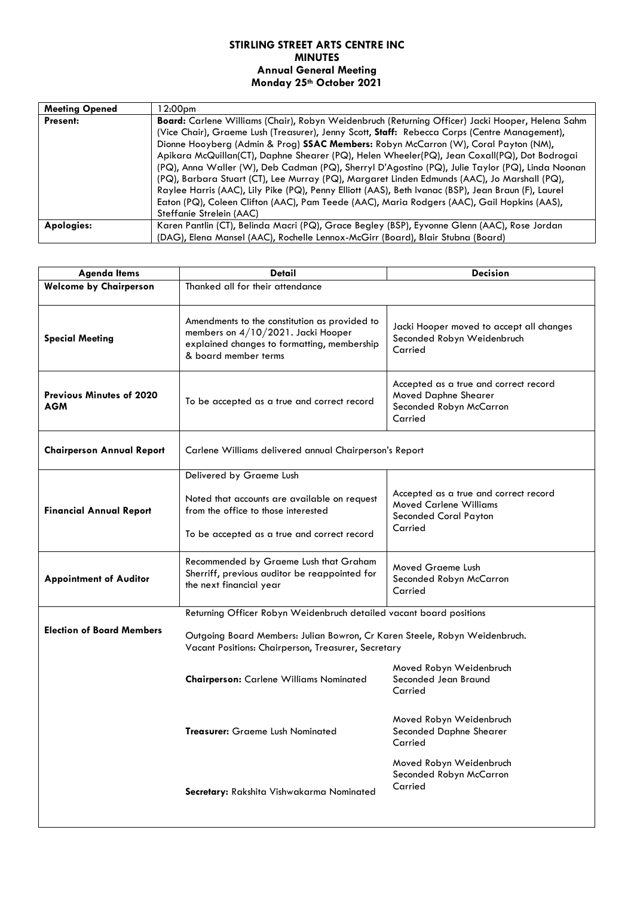## **STIRLING STREET ARTS CENTRE INC MINUTES Annual General Meeting Monday 25th October 2021**

| <b>Meeting Opened</b> | l 2:00pm                                                                                                |  |  |
|-----------------------|---------------------------------------------------------------------------------------------------------|--|--|
| <b>Present:</b>       | <b>Board:</b> Carlene Williams (Chair), Robyn Weidenbruch (Returning Officer) Jacki Hooper, Helena Sahm |  |  |
|                       | (Vice Chair), Graeme Lush (Treasurer), Jenny Scott, Staff: Rebecca Corps (Centre Management),           |  |  |
|                       | Dionne Hooyberg (Admin & Prog) <b>SSAC Members:</b> Robyn McCarron (W), Coral Payton (NM),              |  |  |
|                       | Apikara McQuillan(CT), Daphne Shearer (PQ), Helen Wheeler(PQ), Jean Coxall(PQ), Dot Bodrogai            |  |  |
|                       | (PQ), Anna Waller (W), Deb Cadman (PQ), Sherryl D'Agostino (PQ), Julie Taylor (PQ), Linda Noonan        |  |  |
|                       | (PQ), Barbara Stuart (CT), Lee Murray (PQ), Margaret Linden Edmunds (AAC), Jo Marshall (PQ),            |  |  |
|                       | Raylee Harris (AAC), Lily Pike (PQ), Penny Elliott (AAS), Beth Ivanac (BSP), Jean Braun (F), Laurel     |  |  |
|                       | Eaton (PQ), Coleen Clifton (AAC), Pam Teede (AAC), Maria Rodgers (AAC), Gail Hopkins (AAS),             |  |  |
|                       | Steffanie Strelein (AAC)                                                                                |  |  |
| Apologies:            | Karen Pantlin (CT), Belinda Macri (PQ), Grace Begley (BSP), Eyvonne Glenn (AAC), Rose Jordan            |  |  |
|                       | (DAG), Elena Mansel (AAC), Rochelle Lennox-McGirr (Board), Blair Stubna (Board)                         |  |  |

| <b>Agenda Items</b>                           | Detail                                                                                                                                                     | <b>Decision</b>                                                                                                   |  |
|-----------------------------------------------|------------------------------------------------------------------------------------------------------------------------------------------------------------|-------------------------------------------------------------------------------------------------------------------|--|
| <b>Welcome by Chairperson</b>                 | Thanked all for their attendance                                                                                                                           |                                                                                                                   |  |
| <b>Special Meeting</b>                        | Amendments to the constitution as provided to<br>members on 4/10/2021. Jacki Hooper<br>explained changes to formatting, membership<br>& board member terms | Jacki Hooper moved to accept all changes<br>Seconded Robyn Weidenbruch<br>Carried                                 |  |
| <b>Previous Minutes of 2020</b><br><b>AGM</b> | To be accepted as a true and correct record                                                                                                                | Accepted as a true and correct record<br>Moved Daphne Shearer<br>Seconded Robyn McCarron<br>Carried               |  |
| <b>Chairperson Annual Report</b>              | Carlene Williams delivered annual Chairperson's Report                                                                                                     |                                                                                                                   |  |
|                                               | Delivered by Graeme Lush                                                                                                                                   |                                                                                                                   |  |
| <b>Financial Annual Report</b>                | Noted that accounts are available on request<br>from the office to those interested<br>To be accepted as a true and correct record                         | Accepted as a true and correct record<br><b>Moved Carlene Williams</b><br><b>Seconded Coral Payton</b><br>Carried |  |
| <b>Appointment of Auditor</b>                 | Recommended by Graeme Lush that Graham<br>Sherriff, previous auditor be reappointed for<br>the next financial year                                         | Moved Graeme Lush<br>Seconded Robyn McCarron<br>Carried                                                           |  |
|                                               | Returning Officer Robyn Weidenbruch detailed vacant board positions                                                                                        |                                                                                                                   |  |
| <b>Election of Board Members</b>              | Outgoing Board Members: Julian Bowron, Cr Karen Steele, Robyn Weidenbruch.<br>Vacant Positions: Chairperson, Treasurer, Secretary                          |                                                                                                                   |  |
|                                               | <b>Chairperson:</b> Carlene Williams Nominated                                                                                                             | Moved Robyn Weidenbruch<br>Seconded Jean Braund<br>Carried                                                        |  |
|                                               | <b>Treasurer:</b> Graeme Lush Nominated                                                                                                                    | Moved Robyn Weidenbruch<br>Seconded Daphne Shearer<br>Carried                                                     |  |
|                                               | Secretary: Rakshita Vishwakarma Nominated                                                                                                                  | Moved Robyn Weidenbruch<br>Seconded Robyn McCarron<br>Carried                                                     |  |